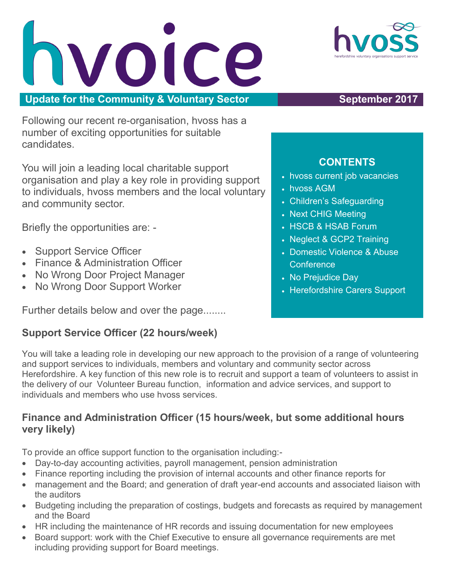VOICE **Update for the Community & Voluntary Sector <b>September 2017** 

Following our recent re-organisation, hvoss has a number of exciting opportunities for suitable candidates.

You will join a leading local charitable support organisation and play a key role in providing support to individuals, hvoss members and the local voluntary and community sector.

Briefly the opportunities are: -

- Support Service Officer
- Finance & Administration Officer
- No Wrong Door Project Manager
- No Wrong Door Support Worker

Further details below and over the page........

### **Support Service Officer (22 hours/week)**

### • hvoss current job vacancies hvoss AGM

**CONTENTS** 

- Children's Safeguarding
- Next CHIG Meeting
- HSCB & HSAB Forum
- Neglect & GCP2 Training
- Domestic Violence & Abuse **Conference**
- No Prejudice Day
- Herefordshire Carers Support

You will take a leading role in developing our new approach to the provision of a range of volunteering and support services to individuals, members and voluntary and community sector across Herefordshire. A key function of this new role is to recruit and support a team of volunteers to assist in the delivery of our Volunteer Bureau function, information and advice services, and support to individuals and members who use hvoss services.

### **Finance and Administration Officer (15 hours/week, but some additional hours very likely)**

To provide an office support function to the organisation including:-

- Day-to-day accounting activities, payroll management, pension administration
- Finance reporting including the provision of internal accounts and other finance reports for
- management and the Board; and generation of draft year-end accounts and associated liaison with the auditors
- Budgeting including the preparation of costings, budgets and forecasts as required by management and the Board
- HR including the maintenance of HR records and issuing documentation for new employees
- Board support: work with the Chief Executive to ensure all governance requirements are met including providing support for Board meetings.

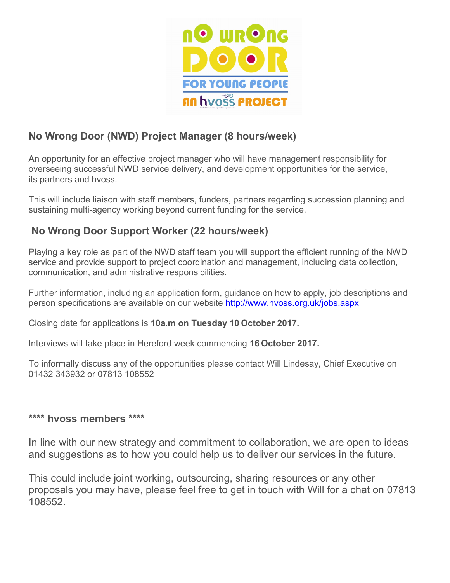

### **No Wrong Door (NWD) Project Manager (8 hours/week)**

An opportunity for an effective project manager who will have management responsibility for overseeing successful NWD service delivery, and development opportunities for the service, its partners and hvoss.

This will include liaison with staff members, funders, partners regarding succession planning and sustaining multi-agency working beyond current funding for the service.

### **No Wrong Door Support Worker (22 hours/week)**

Playing a key role as part of the NWD staff team you will support the efficient running of the NWD service and provide support to project coordination and management, including data collection, communication, and administrative responsibilities.

Further information, including an application form, guidance on how to apply, job descriptions and person specifications are available on our website <http://www.hvoss.org.uk/jobs.aspx>

Closing date for applications is **10a.m on Tuesday 10 October 2017.** 

Interviews will take place in Hereford week commencing **16 October 2017.**

To informally discuss any of the opportunities please contact Will Lindesay, Chief Executive on 01432 343932 or 07813 108552

### **\*\*\*\* hvoss members \*\*\*\***

In line with our new strategy and commitment to collaboration, we are open to ideas and suggestions as to how you could help us to deliver our services in the future.

This could include joint working, outsourcing, sharing resources or any other proposals you may have, please feel free to get in touch with Will for a chat on 07813 108552.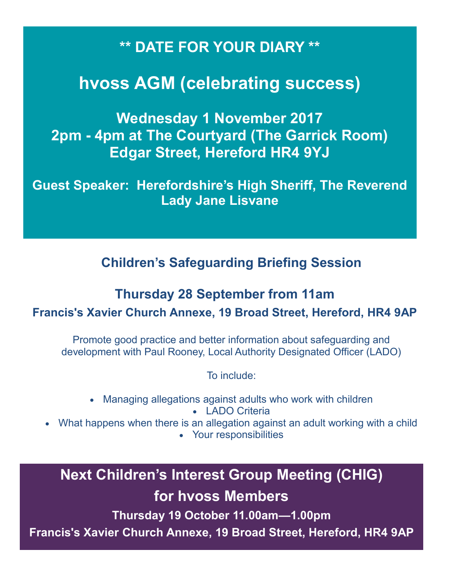### **\*\* DATE FOR YOUR DIARY \*\***

## **hvoss AGM (celebrating success)**

**Wednesday 1 November 2017 2pm - 4pm at The Courtyard (The Garrick Room) Edgar Street, Hereford HR4 9YJ**

**Guest Speaker: Herefordshire's High Sheriff, The Reverend Lady Jane Lisvane**

**Children's Safeguarding Briefing Session**

# **Thursday 28 September from 11am**

**Francis's Xavier Church Annexe, 19 Broad Street, Hereford, HR4 9AP**

Promote good practice and better information about safeguarding and development with Paul Rooney, Local Authority Designated Officer (LADO)

To include:

- Managing allegations against adults who work with children LADO Criteria
- What happens when there is an allegation against an adult working with a child Your responsibilities

**Next Children's Interest Group Meeting (CHIG) for hvoss Members**

**Thursday 19 October 11.00am—1.00pm**

**Francis's Xavier Church Annexe, 19 Broad Street, Hereford, HR4 9AP**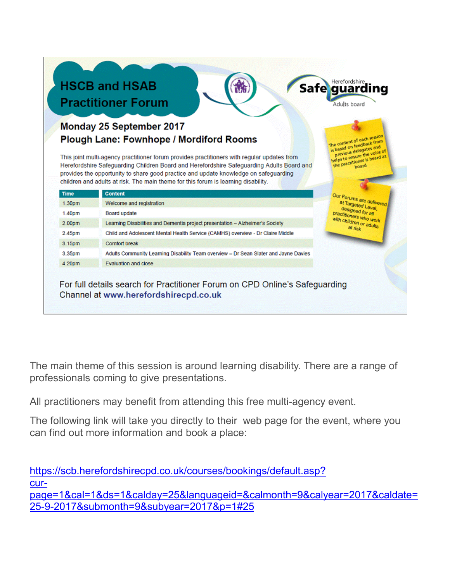|                                                                                                                                                                                                                                                                                                                                                                        |                                                                                      | Adults board                                                                                                                       |
|------------------------------------------------------------------------------------------------------------------------------------------------------------------------------------------------------------------------------------------------------------------------------------------------------------------------------------------------------------------------|--------------------------------------------------------------------------------------|------------------------------------------------------------------------------------------------------------------------------------|
|                                                                                                                                                                                                                                                                                                                                                                        | Monday 25 September 2017                                                             |                                                                                                                                    |
|                                                                                                                                                                                                                                                                                                                                                                        | <b>Plough Lane: Fownhope / Mordiford Rooms</b>                                       | The content of each session<br>is based on feedback from                                                                           |
| This joint multi-agency practitioner forum provides practitioners with regular updates from<br>Herefordshire Safeguarding Children Board and Herefordshire Safeguarding Adults Board and<br>provides the opportunity to share good practice and update knowledge on safeguarding<br>children and adults at risk. The main theme for this forum is learning disability. |                                                                                      | previous delegates and<br>helps to ensure the voice of<br>the practitioner is heard at                                             |
| <b>Time</b>                                                                                                                                                                                                                                                                                                                                                            | <b>Content</b>                                                                       | Our Forums are delivered<br>at Targeted Level,<br>designed for all<br>practitioners who work<br>with children or adults<br>at risk |
| 1.30pm                                                                                                                                                                                                                                                                                                                                                                 | Welcome and registration                                                             |                                                                                                                                    |
| 1.40pm                                                                                                                                                                                                                                                                                                                                                                 | Board update                                                                         |                                                                                                                                    |
| 2.00pm                                                                                                                                                                                                                                                                                                                                                                 | Learning Disabilities and Dementia project presentation - Alzheimer's Society        |                                                                                                                                    |
| 2.45pm                                                                                                                                                                                                                                                                                                                                                                 | Child and Adolescent Mental Health Service (CAMHS) overview - Dr Claire Middle       |                                                                                                                                    |
|                                                                                                                                                                                                                                                                                                                                                                        | <b>Comfort break</b>                                                                 |                                                                                                                                    |
|                                                                                                                                                                                                                                                                                                                                                                        |                                                                                      |                                                                                                                                    |
| 3.15pm<br>3.35pm                                                                                                                                                                                                                                                                                                                                                       | Adults Community Learning Disability Team overview - Dr Sean Slater and Jayne Davies |                                                                                                                                    |

The main theme of this session is around learning disability. There are a range of professionals coming to give presentations.

All practitioners may benefit from attending this free multi-agency event.

The following link will take you directly to their web page for the event, where you can find out more information and book a place:

[https://scb.herefordshirecpd.co.uk/courses/bookings/default.asp?](https://scb.herefordshirecpd.co.uk/courses/bookings/default.asp?curpage=1&cal=1&ds=1&calday=25&languageid=&calmonth=9&calyear=2017&caldate=25-9-2017&submonth=9&subyear=2017&p=1#25) [cur](https://scb.herefordshirecpd.co.uk/courses/bookings/default.asp?curpage=1&cal=1&ds=1&calday=25&languageid=&calmonth=9&calyear=2017&caldate=25-9-2017&submonth=9&subyear=2017&p=1#25)[page=1&cal=1&ds=1&calday=25&languageid=&calmonth=9&calyear=2017&caldate=](https://scb.herefordshirecpd.co.uk/courses/bookings/default.asp?curpage=1&cal=1&ds=1&calday=25&languageid=&calmonth=9&calyear=2017&caldate=25-9-2017&submonth=9&subyear=2017&p=1#25) [25-9-2017&submonth=9&subyear=2017&p=1#25](https://scb.herefordshirecpd.co.uk/courses/bookings/default.asp?curpage=1&cal=1&ds=1&calday=25&languageid=&calmonth=9&calyear=2017&caldate=25-9-2017&submonth=9&subyear=2017&p=1#25)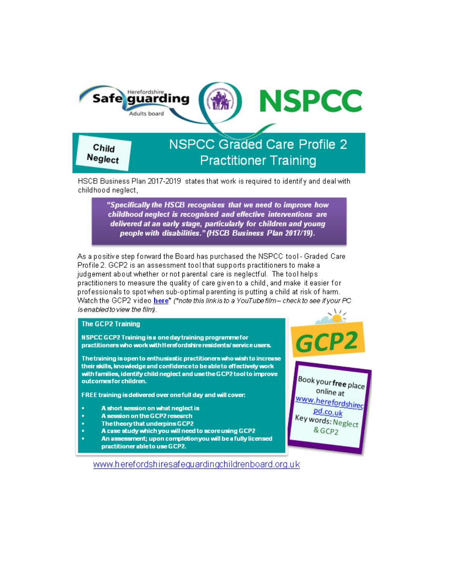

HSCB Business Plan 2017-2019 states that work is required to identify and deal with childhood neglect,

> "Specifically the HSCB recognises that we need to improve how childhood neglect is recognised and effective interventions are delivered at an early stage, particularly for children and young people with disabilities." (HSCB Business Plan 2017/19).

As a positive step forward the Board has purchased the NSPCC tool - Graded Care Profile 2. GCP2 is an assessment tool that supports practitioners to make a judgement about whether or not parental care is neglectful. The tool helps practitioners to measure the quality of care given to a child, and make it easier for professionals to spot when sub-optimal parenting is putting a child at risk of harm. Watch the GCP2 video here\* (\*note this link is to a YouTube film-check to see if your PC is enabled to view the film).

### **The GCP2 Training**

NSPCC GCP2 Training is a one day training programme for practitioners who work with Herefordshire residents/service users.

The training is open to enthusiastic practitioners who wish to increase their skills, knowledge and confidence to be able to effectively work with families, identify child neglect and use the GCP2 tool to improve outcomes for children.

FREE training is delivered over one full day and will cover:

- A short session on what neglect is
- A session on the GCP2 research ٠
- ł, The theory that underpins GCP2
- A case study which you will need to score using GCP2
- An assessment; upon completionyou will be a fully licensed practitioner able to use GCP2.

www.herefordshiresafeguardingchildrenboard.org.uk



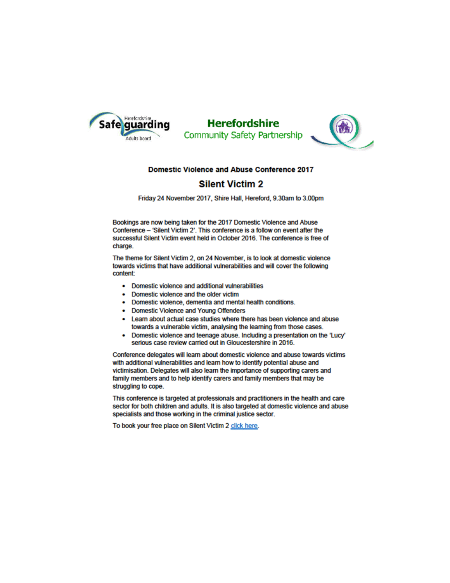

### **Herefordshire** Community Safety Partnership



### **Domestic Violence and Abuse Conference 2017**

### **Silent Victim 2**

Friday 24 November 2017, Shire Hall, Hereford, 9.30am to 3.00pm

Bookings are now being taken for the 2017 Domestic Violence and Abuse Conference - 'Silent Victim 2'. This conference is a follow on event after the successful Silent Victim event held in October 2016. The conference is free of charge.

The theme for Silent Victim 2, on 24 November, is to look at domestic violence towards victims that have additional vulnerabilities and will cover the following content:

- Domestic violence and additional vulnerabilities
- Domestic violence and the older victim
- Domestic violence, dementia and mental health conditions.  $\bullet$
- **Domestic Violence and Young Offenders**
- Learn about actual case studies where there has been violence and abuse towards a vulnerable victim, analysing the learning from those cases.
- Domestic violence and teenage abuse. Including a presentation on the 'Lucy' serious case review carried out in Gloucestershire in 2016.

Conference delegates will learn about domestic violence and abuse towards victims with additional vulnerabilities and learn how to identify potential abuse and victimisation. Delegates will also learn the importance of supporting carers and family members and to help identify carers and family members that may be struggling to cope.

This conference is targeted at professionals and practitioners in the health and care sector for both children and adults. It is also targeted at domestic violence and abuse specialists and those working in the criminal justice sector.

To book your free place on Silent Victim 2 click here.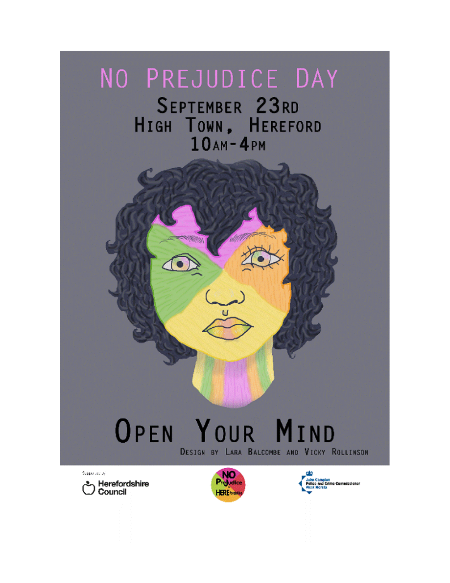# NO PREJUDICE DAY

SEPTEMBER 23RD HIGH TOWN, HEREFORD  $10AM - 4PM$ 



# OPEN YOUR MIND DESIGN BY LARA BALCOMBE AND VICKY ROLLINSON

Supported by therefordshire<br>Council